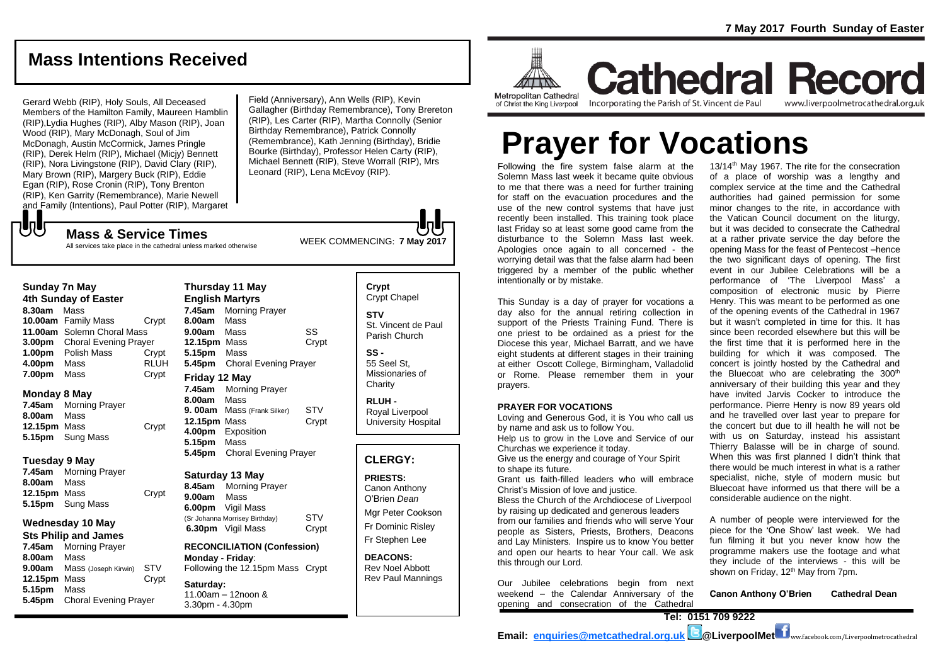## **Mass Intentions Received**

Gerard Webb (RIP), Holy Souls, All Deceased Members of the Hamilton Family, Maureen Hamblin (RIP),Lydia Hughes (RIP), Alby Mason (RIP), Joan Wood (RIP), Mary McDonagh, Soul of Jim McDonagh, Austin McCormick, James Pringle (RIP), Derek Helm (RIP), Michael (Micjy) Bennett (RIP), Nora Livingstone (RIP), David Clary (RIP), Mary Brown (RIP), Margery Buck (RIP), Eddie Egan (RIP), Rose Cronin (RIP), Tony Brenton (RIP), Ken Garrity (Remembrance), Marie Newell and Family (Intentions), Paul Potter (RIP), Margaret Field (Anniversary), Ann Wells (RIP), Kevin Gallagher (Birthday Remembrance), Tony Brereton (RIP), Les Carter (RIP), Martha Connolly (Senior Birthday Remembrance), Patrick Connolly (Remembrance), Kath Jenning (Birthday), Bridie Bourke (Birthday), Professor Helen Carty (RIP), Michael Bennett (RIP), Steve Worrall (RIP), Mrs Leonard (RIP), Lena McEvoy (RIP).

WEEK COMMENCING: **7 May <sup>2017</sup> Mass & Service Times** All services take place in the cathedral unless marked otherwise

#### **Sunday 7n May**

もし

**4th Sunday of Easter 8.30am** Mass **10.00am** Family Mass Crypt **11.00am** Solemn Choral Mass **3.00pm** Choral Evening Prayer **1.00pm** Polish Mass Crypt **4.00pm** Mass RLUH **7.00pm** Mass Crypt

#### **Monday 8 May**

**7.45am** Morning Prayer **8.00am** Mass **12.15pm** Mass Crypt **5.15pm** Sung Mass

#### **Tuesday 9 May**

**7.45am** Morning Prayer **8.00am** Mass **12.15pm** Mass Crypt **5.15pm** Sung Mass

#### **Wednesday 10 May Sts Philip and James**

**7.45am** Morning Prayer **8.00am** Mass **9.00am** Mass (Joseph Kirwin) STV **12.15pm** Mass Crypt **5.15pm** Mass **5.45pm** Choral Evening Prayer

**Thursday 11 May English Martyrs 7.45am** Morning Prayer **8.00am** Mass **9.00am** Mass SS **12.15pm** Mass Crypt **5.15pm** Mass **5.45pm** Choral Evening Prayer **Friday 12 May 7.45am** Morning Prayer **8.00am** Mass **9. 00am** Mass (Frank Silker) STV **12.15pm** Mass Crypt **4.00pm** Exposition **5.15pm** Mass **5.45pm** Choral Evening Prayer

#### **Saturday 13 May**

**8.45am** Morning Prayer **9.00am** Mass **6.00pm** Vigil Mass (Sr Johanna Morrisey Birthday) STV<br> **6.30pm** Vigil Mass Crypt **6.30pm** Vigil Mass

**RECONCILIATION (Confession) Monday - Friday**: Following the 12.15pm Mass Crypt

**Saturday:** 11.00am – 12noon & 3.30pm - 4.30pm

**Crypt**  Crypt Chapel **STV** St. Vincent de Paul Parish Church **SS -**

55 Seel St, Missionaries of **Charity** 

**RLUH -** Royal Liverpool University Hospital

#### **CLERGY:**

**PRIESTS:** Canon Anthony O'Brien *Dean*

Mgr Peter Cookson Fr Dominic Risley

Fr Stephen Lee

**DEACONS:** Rev Noel Abbott Rev Paul Mannings



**Cathedral Record** Incorporating the Parish of St. Vincent de Paul www.liverpoolmetrocathedral.org.uk

# **Prayer for Vocations**

Following the fire system false alarm at the Solemn Mass last week it became quite obvious to me that there was a need for further training for staff on the evacuation procedures and the use of the new control systems that have just recently been installed. This training took place last Friday so at least some good came from the disturbance to the Solemn Mass last week. Apologies once again to all concerned - the worrying detail was that the false alarm had been triggered by a member of the public whether intentionally or by mistake.

This Sunday is a day of prayer for vocations a day also for the annual retiring collection in support of the Priests Training Fund. There is one priest to be ordained as a priest for the Diocese this year, Michael Barratt, and we have eight students at different stages in their training at either Oscott College, Birmingham, Valladolid or Rome. Please remember them in your prayers.

#### **PRAYER FOR VOCATIONS**

Loving and Generous God, it is You who call us by name and ask us to follow You. Help us to grow in the Love and Service of our Churchas we experience it today.

Give us the energy and courage of Your Spirit to shape its future.

Grant us faith-filled leaders who will embrace Christ's Mission of love and justice.

Bless the Church of the Archdiocese of Liverpool by raising up dedicated and generous leaders from our families and friends who will serve Your people as Sisters, Priests, Brothers, Deacons and Lay Ministers. Inspire us to know You better and open our hearts to hear Your call. We ask this through our Lord.

Our Jubilee celebrations begin from next weekend – the Calendar Anniversary of the opening and consecration of the Cathedral

13/14<sup>th</sup> May 1967. The rite for the consecration of a place of worship was a lengthy and complex service at the time and the Cathedral authorities had gained permission for some minor changes to the rite, in accordance with the Vatican Council document on the liturgy, but it was decided to consecrate the Cathedral at a rather private service the day before the opening Mass for the feast of Pentecost –hence the two significant days of opening. The first event in our Jubilee Celebrations will be a performance of 'The Liverpool Mass' a composition of electronic music by Pierre Henry. This was meant to be performed as one of the opening events of the Cathedral in 1967 but it wasn't completed in time for this. It has since been recorded elsewhere but this will be the first time that it is performed here in the building for which it was composed. The concert is jointly hosted by the Cathedral and the Bluecoat who are celebrating the  $300<sup>th</sup>$ anniversary of their building this year and they have invited Jarvis Cocker to introduce the performance. Pierre Henry is now 89 years old and he travelled over last year to prepare for the concert but due to ill health he will not be with us on Saturday, instead his assistant Thierry Balasse will be in charge of sound. When this was first planned I didn't think that there would be much interest in what is a rather specialist, niche, style of modern music but Bluecoat have informed us that there will be a considerable audience on the night.

A number of people were interviewed for the piece for the 'One Show' last week. We had fun filming it but you never know how the programme makers use the footage and what they include of the interviews - this will be shown on Friday, 12<sup>th</sup> May from 7pm.

**Canon Anthony O'Brien Cathedral Dean**

**Tel: 0151 709 9222 Email: [enquiries@metcathedral.org.uk](mailto:enquiries@metcathedral.org.uk) @LiverpoolMet** ww.facebook.com/Liverpoolmetrocathedral